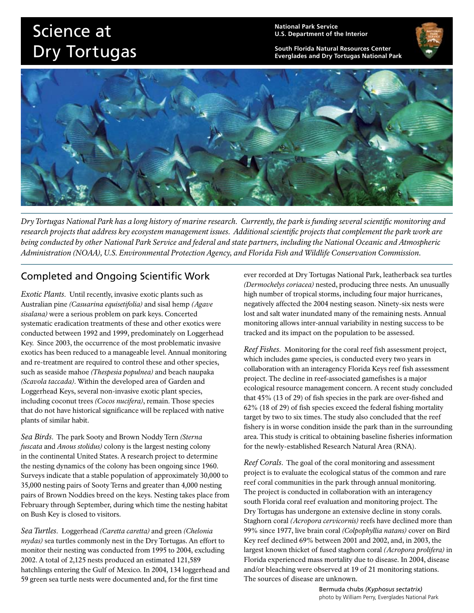## Science at Dry Tortugas

**National Park Service U.S. Department of the Interior**

**South Florida Natural Resources Center Everglades and Dry Tortugas National Park** 



*Dry Tortugas National Park has a long history of marine research. Currently, the park is funding several scientific monitoring and research projects that address key ecosystem management issues. Additional scientific projects that complement the park work are being conducted by other National Park Service and federal and state partners, including the National Oceanic and Atmospheric Administration (NOAA), U.S. Environmental Protection Agency, and Florida Fish and Wildlife Conservation Commission.* 

## Completed and Ongoing Scientific Work

*Exotic Plants*. Until recently, invasive exotic plants such as Australian pine *(Casuarina equisetifolia)* and sisal hemp *(Agave sisalana)* were a serious problem on park keys. Concerted systematic eradication treatments of these and other exotics were conducted between 1992 and 1999, predominately on Loggerhead Key. Since 2003, the occurrence of the most problematic invasive exotics has been reduced to a manageable level. Annual monitoring and re-treatment are required to control these and other species, such as seaside mahoe *(Thespesia populnea)* and beach naupaka *(Scavola taccada)*. Within the developed area of Garden and Loggerhead Keys, several non-invasive exotic plant species, including coconut trees *(Cocos nucifera)*, remain. Those species that do not have historical significance will be replaced with native plants of similar habit.

*Sea Birds*. The park Sooty and Brown Noddy Tern *(Sterna fuscata* and *Anous stolidus)* colony is the largest nesting colony in the continental United States. A research project to determine the nesting dynamics of the colony has been ongoing since 1960. Surveys indicate that a stable population of approximately 30,000 to 35,000 nesting pairs of Sooty Terns and greater than 4,000 nesting pairs of Brown Noddies breed on the keys. Nesting takes place from February through September, during which time the nesting habitat on Bush Key is closed to visitors.

*Sea Turtles*. Loggerhead *(Caretta caretta)* and green *(Chelonia mydas)* sea turtles commonly nest in the Dry Tortugas. An effort to monitor their nesting was conducted from 1995 to 2004, excluding 2002. A total of 2,125 nests produced an estimated 121,589 hatchlings entering the Gulf of Mexico. In 2004, 134 loggerhead and 59 green sea turtle nests were documented and, for the first time

ever recorded at Dry Tortugas National Park, leatherback sea turtles *(Dermochelys coriacea)* nested, producing three nests. An unusually high number of tropical storms, including four major hurricanes, negatively affected the 2004 nesting season. Ninety-six nests were lost and salt water inundated many of the remaining nests. Annual monitoring allows inter-annual variability in nesting success to be tracked and its impact on the population to be assessed.

*Reef Fishes*. Monitoring for the coral reef fish assessment project, which includes game species, is conducted every two years in collaboration with an interagency Florida Keys reef fish assessment project. The decline in reef-associated gamefishes is a major ecological resource management concern. A recent study concluded that 45% (13 of 29) of fish species in the park are over-fished and 62% (18 of 29) of fish species exceed the federal fishing mortality target by two to six times. The study also concluded that the reef fishery is in worse condition inside the park than in the surrounding area. This study is critical to obtaining baseline fisheries information for the newly-established Research Natural Area (RNA).

*Reef Corals*. The goal of the coral monitoring and assessment project is to evaluate the ecological status of the common and rare reef coral communities in the park through annual monitoring. The project is conducted in collaboration with an interagency south Florida coral reef evaluation and monitoring project. The Dry Tortugas has undergone an extensive decline in stony corals. Staghorn coral *(Acropora cervicornis)* reefs have declined more than 99% since 1977, live brain coral *(Colpophyllia natans)* cover on Bird Key reef declined 69% between 2001 and 2002, and, in 2003, the largest known thicket of fused staghorn coral *(Acropora prolifera)* in Florida experienced mass mortality due to disease. In 2004, disease and/or bleaching were observed at 19 of 21 monitoring stations. The sources of disease are unknown.

> Bermuda chubs *(Kyphosus sectatrix)* photo by William Perry, Everglades National Park